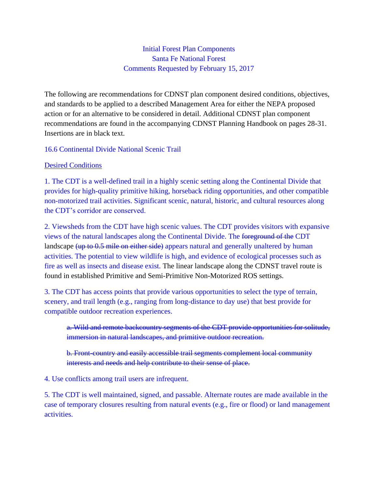Initial Forest Plan Components Santa Fe National Forest Comments Requested by February 15, 2017

The following are recommendations for CDNST plan component desired conditions, objectives, and standards to be applied to a described Management Area for either the NEPA proposed action or for an alternative to be considered in detail. Additional CDNST plan component recommendations are found in the accompanying CDNST Planning Handbook on pages 28-31. Insertions are in black text.

## 16.6 Continental Divide National Scenic Trail

## Desired Conditions

1. The CDT is a well-defined trail in a highly scenic setting along the Continental Divide that provides for high-quality primitive hiking, horseback riding opportunities, and other compatible non-motorized trail activities. Significant scenic, natural, historic, and cultural resources along the CDT's corridor are conserved.

2. Viewsheds from the CDT have high scenic values. The CDT provides visitors with expansive views of the natural landscapes along the Continental Divide. The foreground of the CDT landscape (up to 0.5 mile on either side) appears natural and generally unaltered by human activities. The potential to view wildlife is high, and evidence of ecological processes such as fire as well as insects and disease exist. The linear landscape along the CDNST travel route is found in established Primitive and Semi-Primitive Non-Motorized ROS settings.

3. The CDT has access points that provide various opportunities to select the type of terrain, scenery, and trail length (e.g., ranging from long-distance to day use) that best provide for compatible outdoor recreation experiences.

a. Wild and remote backcountry segments of the CDT provide opportunities for solitude, immersion in natural landscapes, and primitive outdoor recreation.

b. Front-country and easily accessible trail segments complement local community interests and needs and help contribute to their sense of place.

4. Use conflicts among trail users are infrequent.

5. The CDT is well maintained, signed, and passable. Alternate routes are made available in the case of temporary closures resulting from natural events (e.g., fire or flood) or land management activities.